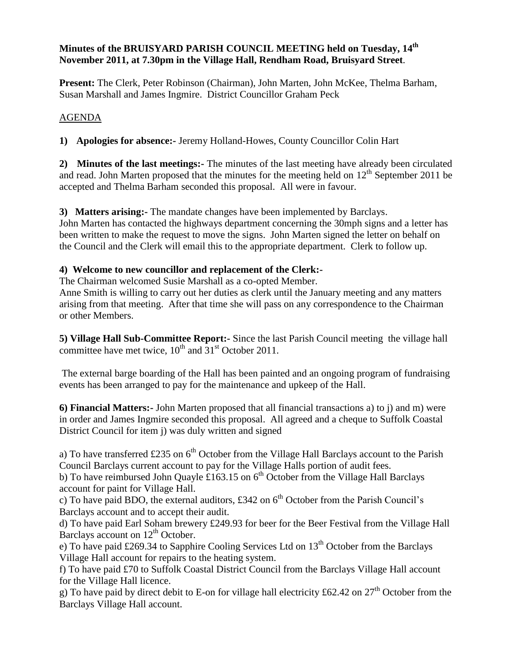## **Minutes of the BRUISYARD PARISH COUNCIL MEETING held on Tuesday, 14th November 2011, at 7.30pm in the Village Hall, Rendham Road, Bruisyard Street**.

**Present:** The Clerk, Peter Robinson (Chairman), John Marten, John McKee, Thelma Barham, Susan Marshall and James Ingmire. District Councillor Graham Peck

# AGENDA

**1) Apologies for absence:-** Jeremy Holland-Howes, County Councillor Colin Hart

**2) Minutes of the last meetings:-** The minutes of the last meeting have already been circulated and read. John Marten proposed that the minutes for the meeting held on  $12<sup>th</sup>$  September 2011 be accepted and Thelma Barham seconded this proposal. All were in favour.

**3) Matters arising:-** The mandate changes have been implemented by Barclays.

John Marten has contacted the highways department concerning the 30mph signs and a letter has been written to make the request to move the signs. John Marten signed the letter on behalf on the Council and the Clerk will email this to the appropriate department. Clerk to follow up.

## **4) Welcome to new councillor and replacement of the Clerk:-**

The Chairman welcomed Susie Marshall as a co-opted Member.

Anne Smith is willing to carry out her duties as clerk until the January meeting and any matters arising from that meeting. After that time she will pass on any correspondence to the Chairman or other Members.

**5) Village Hall Sub-Committee Report:-** Since the last Parish Council meeting the village hall committee have met twice,  $10^{th}$  and  $31^{st}$  October 2011.

The external barge boarding of the Hall has been painted and an ongoing program of fundraising events has been arranged to pay for the maintenance and upkeep of the Hall.

**6) Financial Matters:-** John Marten proposed that all financial transactions a) to j) and m) were in order and James Ingmire seconded this proposal. All agreed and a cheque to Suffolk Coastal District Council for item j) was duly written and signed

a) To have transferred £235 on  $6<sup>th</sup>$  October from the Village Hall Barclays account to the Parish Council Barclays current account to pay for the Village Halls portion of audit fees.

b) To have reimbursed John Quayle £163.15 on  $6<sup>th</sup>$  October from the Village Hall Barclays account for paint for Village Hall.

c) To have paid BDO, the external auditors, £342 on  $6<sup>th</sup>$  October from the Parish Council's Barclays account and to accept their audit.

d) To have paid Earl Soham brewery £249.93 for beer for the Beer Festival from the Village Hall Barclays account on  $12<sup>th</sup>$  October.

e) To have paid £269.34 to Sapphire Cooling Services Ltd on  $13<sup>th</sup>$  October from the Barclays Village Hall account for repairs to the heating system.

f) To have paid £70 to Suffolk Coastal District Council from the Barclays Village Hall account for the Village Hall licence.

g) To have paid by direct debit to E-on for village hall electricity £62.42 on  $27<sup>th</sup>$  October from the Barclays Village Hall account.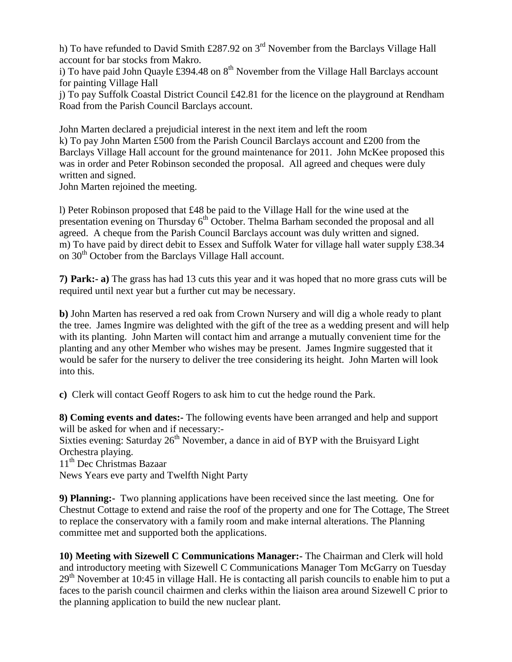h) To have refunded to David Smith £287.92 on 3<sup>rd</sup> November from the Barclays Village Hall account for bar stocks from Makro.

i) To have paid John Quayle £394.48 on  $8<sup>th</sup>$  November from the Village Hall Barclays account for painting Village Hall

j) To pay Suffolk Coastal District Council £42.81 for the licence on the playground at Rendham Road from the Parish Council Barclays account.

John Marten declared a prejudicial interest in the next item and left the room k) To pay John Marten £500 from the Parish Council Barclays account and £200 from the Barclays Village Hall account for the ground maintenance for 2011. John McKee proposed this was in order and Peter Robinson seconded the proposal. All agreed and cheques were duly written and signed.

John Marten rejoined the meeting.

l) Peter Robinson proposed that £48 be paid to the Village Hall for the wine used at the presentation evening on Thursday  $6<sup>th</sup>$  October. Thelma Barham seconded the proposal and all agreed. A cheque from the Parish Council Barclays account was duly written and signed. m) To have paid by direct debit to Essex and Suffolk Water for village hall water supply £38.34 on 30<sup>th</sup> October from the Barclays Village Hall account.

**7) Park:- a)** The grass has had 13 cuts this year and it was hoped that no more grass cuts will be required until next year but a further cut may be necessary.

**b)** John Marten has reserved a red oak from Crown Nursery and will dig a whole ready to plant the tree. James Ingmire was delighted with the gift of the tree as a wedding present and will help with its planting. John Marten will contact him and arrange a mutually convenient time for the planting and any other Member who wishes may be present. James Ingmire suggested that it would be safer for the nursery to deliver the tree considering its height. John Marten will look into this.

**c)** Clerk will contact Geoff Rogers to ask him to cut the hedge round the Park.

**8) Coming events and dates:-** The following events have been arranged and help and support will be asked for when and if necessary:-

Sixties evening: Saturday  $26<sup>th</sup>$  November, a dance in aid of BYP with the Bruisyard Light Orchestra playing.

11<sup>th</sup> Dec Christmas Bazaar

News Years eve party and Twelfth Night Party

**9) Planning:-** Two planning applications have been received since the last meeting. One for Chestnut Cottage to extend and raise the roof of the property and one for The Cottage, The Street to replace the conservatory with a family room and make internal alterations. The Planning committee met and supported both the applications.

**10) Meeting with Sizewell C Communications Manager:-** The Chairman and Clerk will hold and introductory meeting with Sizewell C Communications Manager Tom McGarry on Tuesday  $29<sup>th</sup>$  November at 10:45 in village Hall. He is contacting all parish councils to enable him to put a faces to the parish council chairmen and clerks within the liaison area around Sizewell C prior to the planning application to build the new nuclear plant.